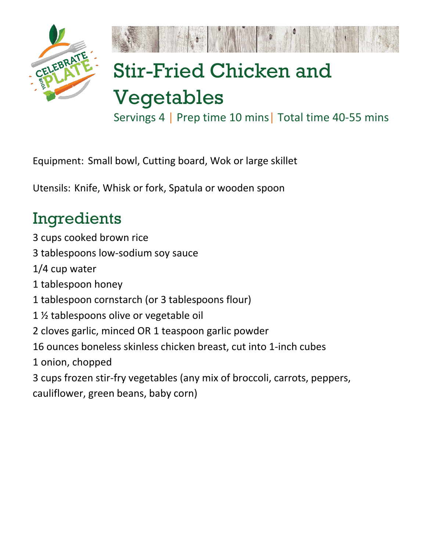

## Stir-Fried Chicken and

## Vegetables

Servings 4 | Prep time 10 mins| Total time 40-55 mins

Equipment: Small bowl, Cutting board, Wok or large skillet

Utensils: Knife, Whisk or fork, Spatula or wooden spoon

## Ingredients

3 cups cooked brown rice 3 tablespoons low-sodium soy sauce 1/4 cup water 1 tablespoon honey 1 tablespoon cornstarch (or 3 tablespoons flour) 1 ½ tablespoons olive or vegetable oil 2 cloves garlic, minced OR 1 teaspoon garlic powder 16 ounces boneless skinless chicken breast, cut into 1-inch cubes 1 onion, chopped 3 cups frozen stir-fry vegetables (any mix of broccoli, carrots, peppers, cauliflower, green beans, baby corn)